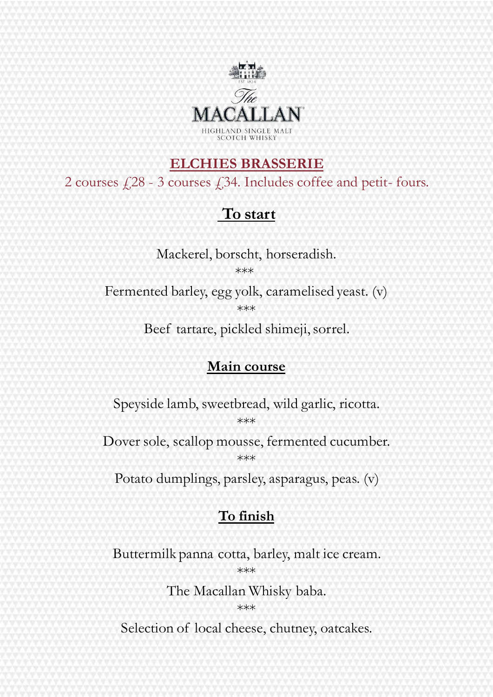

#### **ELCHIES BRASSERIE**

2 courses £28 - 3 courses £34. Includes coffee and petit- fours.

## **To start**

Mackerel, borscht, horseradish. \*\*\*

Fermented barley, egg yolk, caramelised yeast. (v) \*\*\*

Beef tartare, pickled shimeji, sorrel.

#### **Main course**

Speyside lamb, sweetbread, wild garlic, ricotta. \*\*\*

Dover sole, scallop mousse, fermented cucumber. \*\*\*

Potato dumplings, parsley, asparagus, peas. (v)

#### **To finish**

Buttermilk panna cotta, barley, malt ice cream. \*\*\*

The Macallan Whisky baba.

\*\*\*

Selection of local cheese, chutney, oatcakes.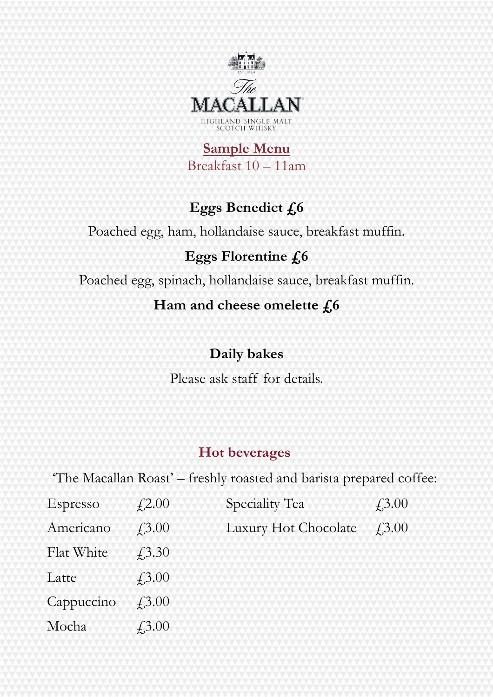

**Sample Menu** Breakfast 10 – 11am

# **Eggs Benedict £6**

Poached egg, ham, hollandaise sauce, breakfast muffin.

#### **Eggs Florentine £6**

Poached egg, spinach, hollandaise sauce, breakfast muffin.

#### Ham and cheese omelette  $f<sub>6</sub>$

## **Daily bakes**

Please ask staff for details.

## **Hot beverages**

'The Macallan Roast' – freshly roasted and barista prepared coffee:

| Espresso   | $\angle 2.00$                         | Speciality Tea       | $\angle 3.00$ |
|------------|---------------------------------------|----------------------|---------------|
| Americano  | f3.00                                 | Luxury Hot Chocolate | f3.00         |
| Flat White | $\sqrt{3.30}$                         |                      |               |
| Latte      | $\ddot{4}.\overline{3}.\overline{00}$ |                      |               |
| Cappuccino | $\angle 3.00$                         |                      |               |
| Mocha      | $\angle 3.00$                         |                      |               |